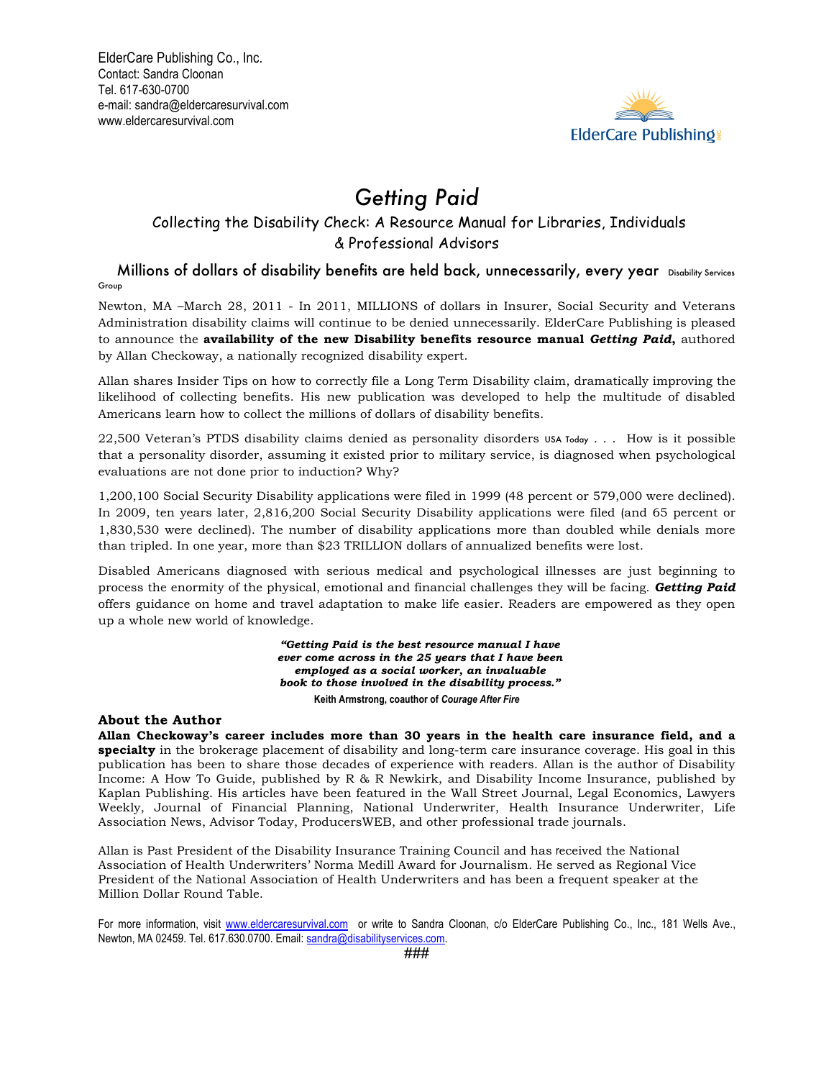

# *Getting Paid*

## Collecting the Disability Check: A Resource Manual for Libraries, Individuals & Professional Advisors

Millions of dollars of disability benefits are held back, unnecessarily, every year Disability Services Group

Newton, MA –March 28, 2011 - In 2011, MILLIONS of dollars in Insurer, Social Security and Veterans Administration disability claims will continue to be denied unnecessarily. ElderCare Publishing is pleased to announce the **availability of the new Disability benefits resource manual** *Getting Paid***,** authored by Allan Checkoway, a nationally recognized disability expert.

Allan shares Insider Tips on how to correctly file a Long Term Disability claim, dramatically improving the likelihood of collecting benefits. His new publication was developed to help the multitude of disabled Americans learn how to collect the millions of dollars of disability benefits.

22,500 Veteran's PTDS disability claims denied as personality disorders USA Today  $\dots$ . How is it possible that a personality disorder, assuming it existed prior to military service, is diagnosed when psychological evaluations are not done prior to induction? Why?

1,200,100 Social Security Disability applications were filed in 1999 (48 percent or 579,000 were declined). In 2009, ten years later, 2,816,200 Social Security Disability applications were filed (and 65 percent or 1,830,530 were declined). The number of disability applications more than doubled while denials more than tripled. In one year, more than \$23 TRILLION dollars of annualized benefits were lost.

Disabled Americans diagnosed with serious medical and psychological illnesses are just beginning to process the enormity of the physical, emotional and financial challenges they will be facing. *Getting Paid* offers guidance on home and travel adaptation to make life easier. Readers are empowered as they open up a whole new world of knowledge.

> *"Getting Paid is the best resource manual I have ever come across in the 25 years that I have been employed as a social worker, an invaluable book to those involved in the disability process."* **Keith Armstrong, coauthor of** *Courage After Fire*

#### **About the Author**

**Allan Checkoway's career includes more than 30 years in the health care insurance field, and a specialty** in the brokerage placement of disability and long-term care insurance coverage. His goal in this publication has been to share those decades of experience with readers. Allan is the author of Disability Income: A How To Guide, published by R & R Newkirk, and Disability Income Insurance, published by Kaplan Publishing. His articles have been featured in the Wall Street Journal, Legal Economics, Lawyers Weekly, Journal of Financial Planning, National Underwriter, Health Insurance Underwriter, Life Association News, Advisor Today, ProducersWEB, and other professional trade journals.

Allan is Past President of the Disability Insurance Training Council and has received the National Association of Health Underwriters' Norma Medill Award for Journalism. He served as Regional Vice President of the National Association of Health Underwriters and has been a frequent speaker at the Million Dollar Round Table.

For more information, visit www.eldercaresurvival.com or write to Sandra Cloonan, c/o ElderCare Publishing Co., Inc., 181 Wells Ave., Newton, MA 02459. Tel. 617.630.0700. Email: sandra@disabilityservices.com.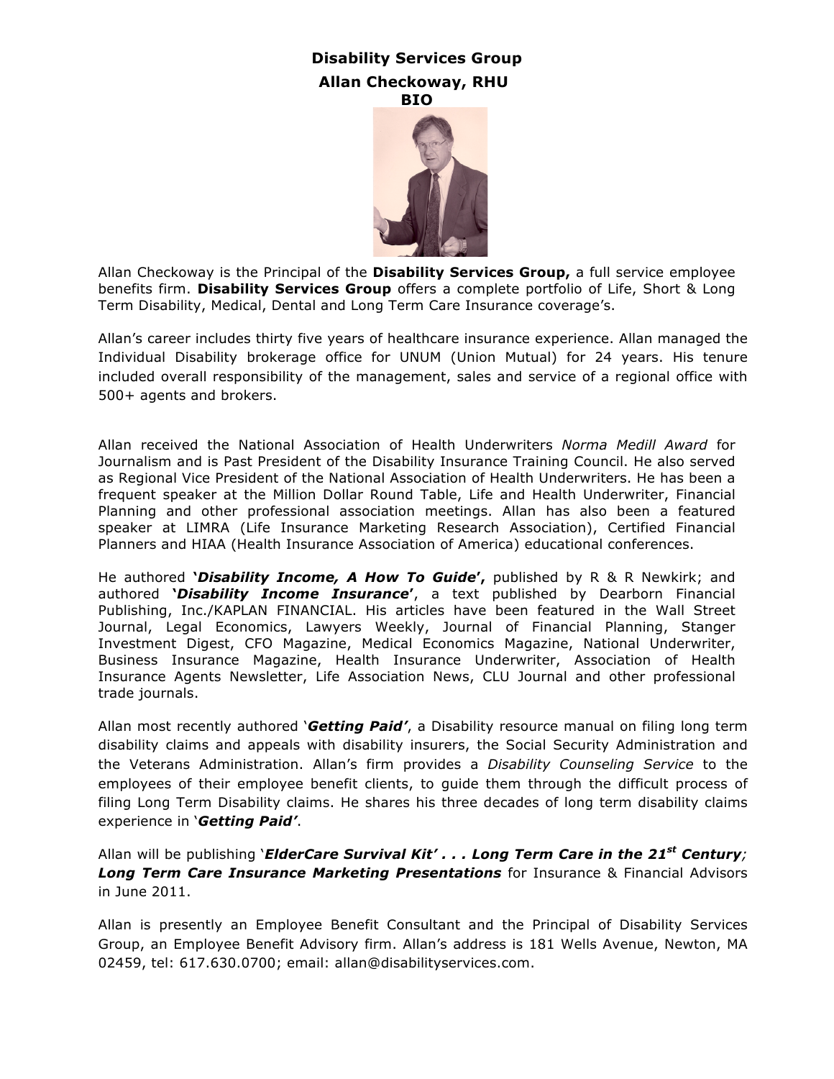## **Disability Services Group Allan Checkoway, RHU BIO**



Allan Checkoway is the Principal of the **Disability Services Group,** a full service employee benefits firm. **Disability Services Group** offers a complete portfolio of Life, Short & Long Term Disability, Medical, Dental and Long Term Care Insurance coverage's.

Allan's career includes thirty five years of healthcare insurance experience. Allan managed the Individual Disability brokerage office for UNUM (Union Mutual) for 24 years. His tenure included overall responsibility of the management, sales and service of a regional office with 500+ agents and brokers.

Allan received the National Association of Health Underwriters *Norma Medill Award* for Journalism and is Past President of the Disability Insurance Training Council. He also served as Regional Vice President of the National Association of Health Underwriters. He has been a frequent speaker at the Million Dollar Round Table, Life and Health Underwriter, Financial Planning and other professional association meetings. Allan has also been a featured speaker at LIMRA (Life Insurance Marketing Research Association), Certified Financial Planners and HIAA (Health Insurance Association of America) educational conferences.

He authored **'***Disability Income, A How To Guide***',** published by R & R Newkirk; and authored **'***Disability Income Insurance***'**, a text published by Dearborn Financial Publishing, Inc./KAPLAN FINANCIAL. His articles have been featured in the Wall Street Journal, Legal Economics, Lawyers Weekly, Journal of Financial Planning, Stanger Investment Digest, CFO Magazine, Medical Economics Magazine, National Underwriter, Business Insurance Magazine, Health Insurance Underwriter, Association of Health Insurance Agents Newsletter, Life Association News, CLU Journal and other professional trade journals.

Allan most recently authored '*Getting Paid'*, a Disability resource manual on filing long term disability claims and appeals with disability insurers, the Social Security Administration and the Veterans Administration. Allan's firm provides a *Disability Counseling Service* to the employees of their employee benefit clients, to guide them through the difficult process of filing Long Term Disability claims. He shares his three decades of long term disability claims experience in '*Getting Paid'*.

Allan will be publishing '*ElderCare Survival Kit' . . . Long Term Care in the 21st Century; Long Term Care Insurance Marketing Presentations* for Insurance & Financial Advisors in June 2011.

Allan is presently an Employee Benefit Consultant and the Principal of Disability Services Group, an Employee Benefit Advisory firm. Allan's address is 181 Wells Avenue, Newton, MA 02459, tel: 617.630.0700; email: allan@disabilityservices.com.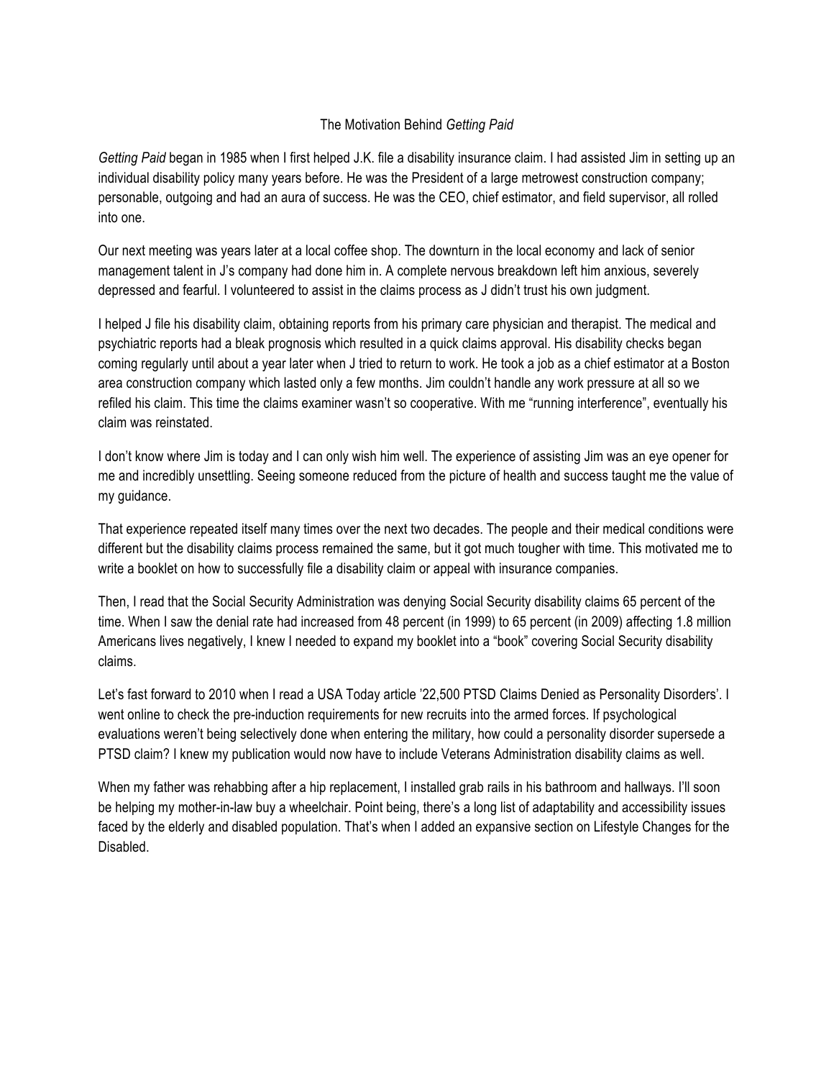### The Motivation Behind *Getting Paid*

*Getting Paid* began in 1985 when I first helped J.K. file a disability insurance claim. I had assisted Jim in setting up an individual disability policy many years before. He was the President of a large metrowest construction company; personable, outgoing and had an aura of success. He was the CEO, chief estimator, and field supervisor, all rolled into one.

Our next meeting was years later at a local coffee shop. The downturn in the local economy and lack of senior management talent in J's company had done him in. A complete nervous breakdown left him anxious, severely depressed and fearful. I volunteered to assist in the claims process as J didn't trust his own judgment.

I helped J file his disability claim, obtaining reports from his primary care physician and therapist. The medical and psychiatric reports had a bleak prognosis which resulted in a quick claims approval. His disability checks began coming regularly until about a year later when J tried to return to work. He took a job as a chief estimator at a Boston area construction company which lasted only a few months. Jim couldn't handle any work pressure at all so we refiled his claim. This time the claims examiner wasn't so cooperative. With me "running interference", eventually his claim was reinstated.

I don't know where Jim is today and I can only wish him well. The experience of assisting Jim was an eye opener for me and incredibly unsettling. Seeing someone reduced from the picture of health and success taught me the value of my guidance.

That experience repeated itself many times over the next two decades. The people and their medical conditions were different but the disability claims process remained the same, but it got much tougher with time. This motivated me to write a booklet on how to successfully file a disability claim or appeal with insurance companies.

Then, I read that the Social Security Administration was denying Social Security disability claims 65 percent of the time. When I saw the denial rate had increased from 48 percent (in 1999) to 65 percent (in 2009) affecting 1.8 million Americans lives negatively, I knew I needed to expand my booklet into a "book" covering Social Security disability claims.

Let's fast forward to 2010 when I read a USA Today article '22,500 PTSD Claims Denied as Personality Disorders'. I went online to check the pre-induction requirements for new recruits into the armed forces. If psychological evaluations weren't being selectively done when entering the military, how could a personality disorder supersede a PTSD claim? I knew my publication would now have to include Veterans Administration disability claims as well.

When my father was rehabbing after a hip replacement, I installed grab rails in his bathroom and hallways. I'll soon be helping my mother-in-law buy a wheelchair. Point being, there's a long list of adaptability and accessibility issues faced by the elderly and disabled population. That's when I added an expansive section on Lifestyle Changes for the Disabled.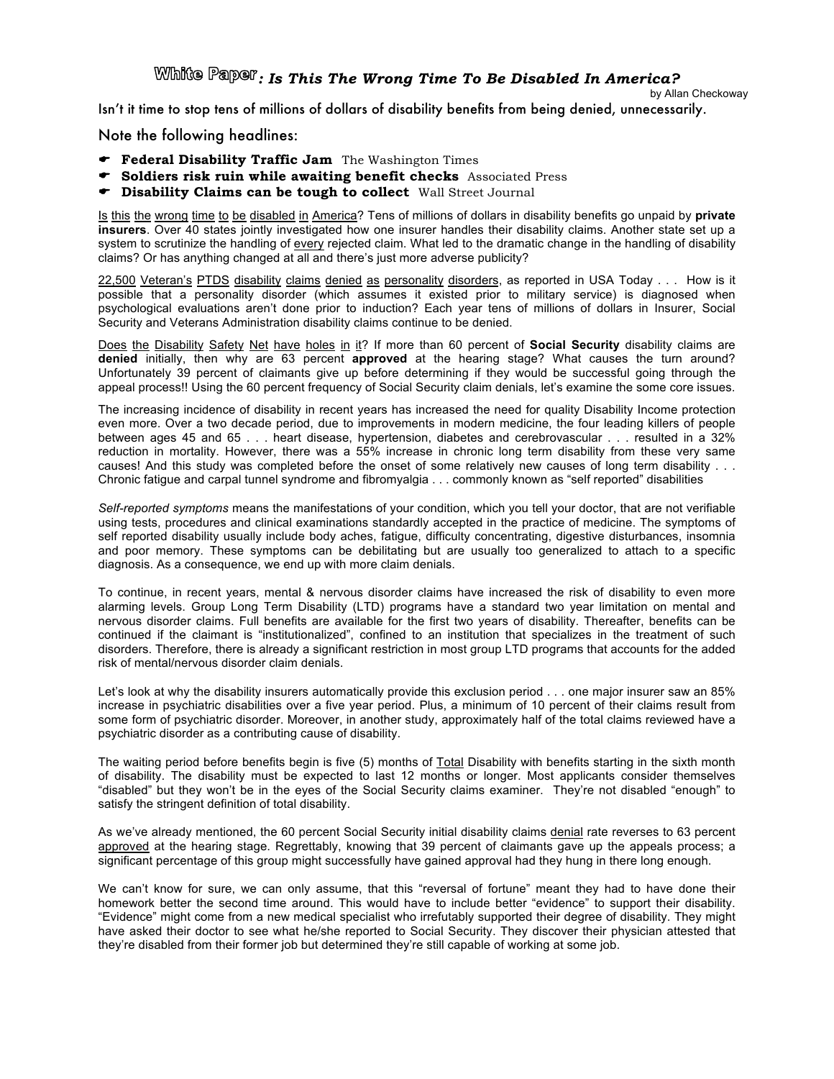*: Is This The Wrong Time To Be Disabled In America?*

by Allan Checkoway

Isn't it time to stop tens of millions of dollars of disability benefits from being denied, unnecessarily.

Note the following headlines:

- **Federal Disability Traffic Jam** The Washington Times
- **Soldiers risk ruin while awaiting benefit checks** Associated Press
- **Disability Claims can be tough to collect** Wall Street Journal

Is this the wrong time to be disabled in America? Tens of millions of dollars in disability benefits go unpaid by **private insurers**. Over 40 states jointly investigated how one insurer handles their disability claims. Another state set up a system to scrutinize the handling of every rejected claim. What led to the dramatic change in the handling of disability claims? Or has anything changed at all and there's just more adverse publicity?

22,500 Veteran's PTDS disability claims denied as personality disorders, as reported in USA Today . . . How is it possible that a personality disorder (which assumes it existed prior to military service) is diagnosed when psychological evaluations aren't done prior to induction? Each year tens of millions of dollars in Insurer, Social Security and Veterans Administration disability claims continue to be denied.

Does the Disability Safety Net have holes in it? If more than 60 percent of **Social Security** disability claims are **denied** initially, then why are 63 percent **approved** at the hearing stage? What causes the turn around? Unfortunately 39 percent of claimants give up before determining if they would be successful going through the appeal process!! Using the 60 percent frequency of Social Security claim denials, let's examine the some core issues.

The increasing incidence of disability in recent years has increased the need for quality Disability Income protection even more. Over a two decade period, due to improvements in modern medicine, the four leading killers of people between ages 45 and 65 . . . heart disease, hypertension, diabetes and cerebrovascular . . . resulted in a 32% reduction in mortality. However, there was a 55% increase in chronic long term disability from these very same causes! And this study was completed before the onset of some relatively new causes of long term disability . . . Chronic fatigue and carpal tunnel syndrome and fibromyalgia . . . commonly known as "self reported" disabilities

*Self-reported symptoms* means the manifestations of your condition, which you tell your doctor, that are not verifiable using tests, procedures and clinical examinations standardly accepted in the practice of medicine. The symptoms of self reported disability usually include body aches, fatigue, difficulty concentrating, digestive disturbances, insomnia and poor memory. These symptoms can be debilitating but are usually too generalized to attach to a specific diagnosis. As a consequence, we end up with more claim denials.

To continue, in recent years, mental & nervous disorder claims have increased the risk of disability to even more alarming levels. Group Long Term Disability (LTD) programs have a standard two year limitation on mental and nervous disorder claims. Full benefits are available for the first two years of disability. Thereafter, benefits can be continued if the claimant is "institutionalized", confined to an institution that specializes in the treatment of such disorders. Therefore, there is already a significant restriction in most group LTD programs that accounts for the added risk of mental/nervous disorder claim denials.

Let's look at why the disability insurers automatically provide this exclusion period . . . one major insurer saw an 85% increase in psychiatric disabilities over a five year period. Plus, a minimum of 10 percent of their claims result from some form of psychiatric disorder. Moreover, in another study, approximately half of the total claims reviewed have a psychiatric disorder as a contributing cause of disability.

The waiting period before benefits begin is five (5) months of Total Disability with benefits starting in the sixth month of disability. The disability must be expected to last 12 months or longer. Most applicants consider themselves "disabled" but they won't be in the eyes of the Social Security claims examiner. They're not disabled "enough" to satisfy the stringent definition of total disability.

As we've already mentioned, the 60 percent Social Security initial disability claims denial rate reverses to 63 percent approved at the hearing stage. Regrettably, knowing that 39 percent of claimants gave up the appeals process; a significant percentage of this group might successfully have gained approval had they hung in there long enough.

We can't know for sure, we can only assume, that this "reversal of fortune" meant they had to have done their homework better the second time around. This would have to include better "evidence" to support their disability. "Evidence" might come from a new medical specialist who irrefutably supported their degree of disability. They might have asked their doctor to see what he/she reported to Social Security. They discover their physician attested that they're disabled from their former job but determined they're still capable of working at some job.